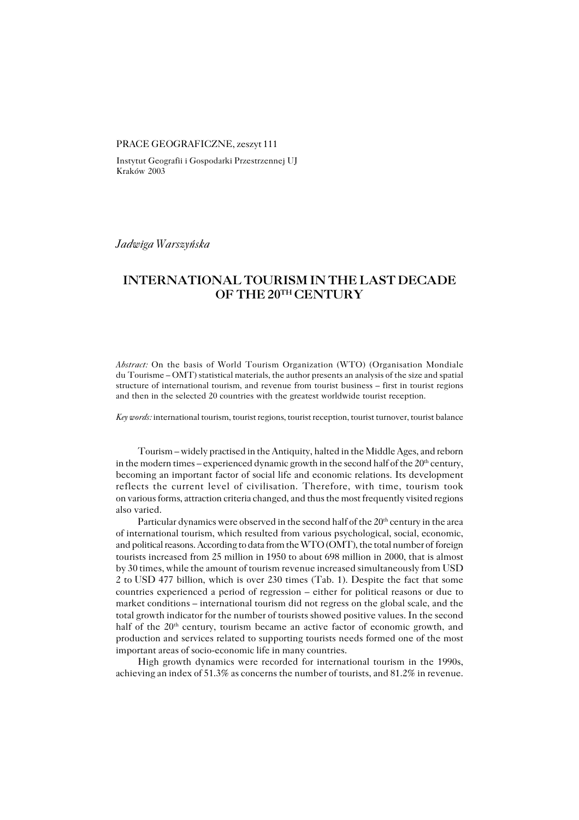## PRACE GEOGRAFICZNE, zeszyt 111

Instytut Geografii i Gospodarki Przestrzennej UJ Kraków 2003

*Jadwiga Warszyńska*

# **INTERNATIONAL TOURISM IN THE LAST DECADE OF THE 20TH CENTURY**

*Abstract:* On the basis of World Tourism Organization (WTO) (Organisation Mondiale duTourisme – OMT) statistical materials, the author presents an analysis of the size and spatial structure of international tourism, and revenue from tourist business – first in tourist regions and then in the selected 20 countries with the greatest worldwide tourist reception.

*Key words:* international tourism, tourist regions, tourist reception, tourist turnover, tourist balance

Tourism – widely practised in the Antiquity, halted in the Middle Ages, and reborn in the modern times – experienced dynamic growth in the second half of the  $20<sup>th</sup>$  century, becoming an important factor of social life and economic relations. Its development reflects the current level of civilisation. Therefore, with time, tourism took on various forms, attraction criteria changed, and thus the most frequently visited regions also varied.

Particular dynamics were observed in the second half of the 20<sup>th</sup> century in the area of international tourism, which resulted from various psychological, social, economic, and political reasons. According to data from the WTO (OMT), the total number of foreign tourists increased from 25 million in 1950 to about 698 million in 2000, that is almost by 30 times, while the amount of tourism revenue increased simultaneously from USD 2 toUSD 477 billion, which is over 230 times (Tab. 1). Despite the fact that some countries experienced a period of regression – either for political reasons or due to market conditions – international tourism did not regress on the global scale, and the total growth indicator for the number of tourists showed positive values. In the second half of the 20<sup>th</sup> century, tourism became an active factor of economic growth, and production and services related to supporting tourists needs formed one of the most important areas of socio−economic life in many countries.

High growth dynamics were recorded for international tourism in the 1990s, achieving an index of 51.3% as concerns the number of tourists, and 81.2% in revenue.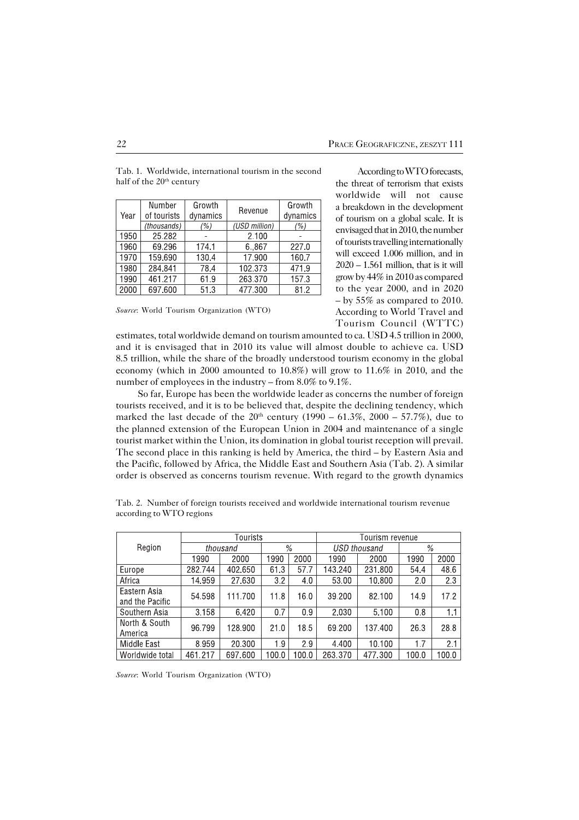| Year | Number      | Growth   | Revenue       | Growth   |
|------|-------------|----------|---------------|----------|
|      | of tourists | dynamics |               | dynamics |
|      | (thousands) | (%)      | (USD million) | (% )     |
| 1950 | 25.282      |          | 2.100         |          |
| 1960 | 69.296      | 174.1    | 6.867         | 227.0    |
| 1970 | 159.690     | 130.4    | 17.900        | 160.7    |
| 1980 | 284.841     | 78.4     | 102.373       | 471.9    |
| 1990 | 461.217     | 61.9     | 263.370       | 157.3    |
| 2000 | 697,600     | 51.3     | 477.300       | 81.2     |

Tab. 1. Worldwide, international tourism in the second half of the 20<sup>th</sup> century

*Source*: World Tourism Organization (WTO)

According to WTO forecasts, the threat of terrorism that exists worldwide will not cause a breakdown in the development of tourism on a global scale. It is envisaged that in 2010, the number of tourists travelling internationally will exceed 1.006 million, and in  $2020 - 1.561$  million, that is it will grow by 44% in 2010 as compared to the year 2000, and in 2020 – by 55% as compared to 2010. According to World Travel and Tourism Council (WTTC)

estimates, total worldwide demand on tourism amounted to ca. USD 4.5 trillion in 2000, and it is envisaged that in 2010 its value will almost double to achieve ca. USD 8.5 trillion, while the share of the broadly understood tourism economy in the global economy (which in 2000 amounted to 10.8%) will grow to 11.6% in 2010, and the number of employees in the industry – from 8.0% to 9.1%.

So far, Europe has been the worldwide leader as concerns the number of foreign tourists received, and it is to be believed that, despite the declining tendency, which marked the last decade of the  $20^{th}$  century (1990 – 61.3%, 2000 – 57.7%), due to the planned extension of the European Union in 2004 and maintenance of a single tourist market within the Union, its domination in global tourist reception will prevail. The second place in this ranking is held by America, the third – by Eastern Asia and the Pacific, followed by Africa, the Middle East and Southern Asia (Tab. 2). A similar order is observed as concerns tourism revenue. With regard to the growth dynamics

|                                 |          | Tourists |               |       | Tourism revenue |         |       |       |
|---------------------------------|----------|----------|---------------|-------|-----------------|---------|-------|-------|
| Region                          | thousand |          | $\frac{0}{0}$ |       | USD thousand    |         | $\%$  |       |
|                                 | 1990     | 2000     | 1990          | 2000  | 1990            | 2000    | 1990  | 2000  |
| Europe                          | 282.744  | 402,650  | 61.3          | 57.7  | 143.240         | 231,800 | 54.4  | 48.6  |
| Africa                          | 14.959   | 27,630   | 3.2           | 4.0   | 53.00           | 10.800  | 2.0   | 2.3   |
| Eastern Asia<br>and the Pacific | 54.598   | 111.700  | 11.8          | 16.0  | 39.200          | 82.100  | 14.9  | 17.2  |
| Southern Asia                   | 3.158    | 6.420    | 0.7           | 0.9   | 2.030           | 5.100   | 0.8   | 1.1   |
| North & South<br>America        | 96.799   | 128.900  | 21.0          | 18.5  | 69.200          | 137.400 | 26.3  | 28.8  |
| Middle East                     | 8.959    | 20.300   | 1.9           | 2.9   | 4.400           | 10.100  | 1.7   | 2.1   |
| Morldwide total                 | 461 217  | 697 600  | 1በበ በ         | 1በበ በ | 263.370         | 477 300 | 1በበ በ | 1በበ በ |

Tab. 2. Number of foreign tourists received and worldwide international tourism revenue according to WTO regions

*Source*: World Tourism Organization (WTO)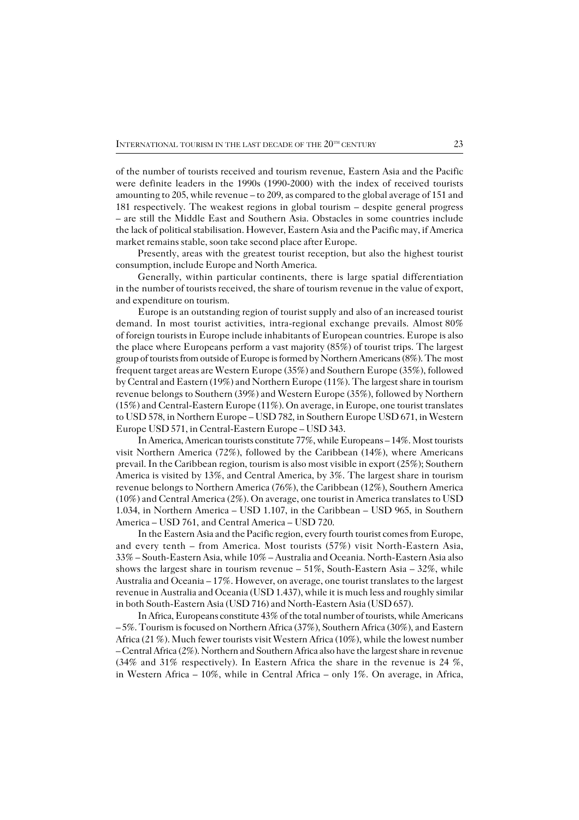ofthe number of tourists received and tourism revenue, Eastern Asia and the Pacific were definite leaders in the 1990s (1990−2000) with the index of received tourists amounting to 205, while revenue – to 209, as compared to the global average of 151 and 181 respectively. The weakest regions in global tourism – despite general progress – are still the Middle East and Southern Asia. Obstacles in some countries include the lack of political stabilisation. However, Eastern Asia and the Pacific may, if America market remains stable, soon take second place after Europe.

Presently, areas with the greatest tourist reception, but also the highest tourist consumption, include Europe and North America.

Generally, within particular continents, there is large spatial differentiation in the number of tourists received, the share of tourism revenue in the value of export, and expenditure on tourism.

Europe is an outstanding region of tourist supply and also of an increased tourist demand. In most tourist activities, intra-regional exchange prevails. Almost 80% of foreign tourists in Europe include inhabitants of European countries. Europe is also the place where Europeans perform a vast majority  $(85%)$  of tourist trips. The largest group of tourists from outside of Europe is formed by Northern Americans (8%). Themost frequent target areas are Western Europe (35%) and Southern Europe (35%), followed by Central and Eastern (19%) and Northern Europe (11%). The largest share in tourism revenue belongs to Southern (39%) and Western Europe (35%), followed by Northern (15%) and Central−Eastern Europe (11%). On average, in Europe, one tourist translates to USD 578, in Northern Europe – USD 782, in Southern Europe USD 671, in Western Europe USD 571, in Central−Eastern Europe – USD 343.

In America, American tourists constitute 77%, while Europeans – 14%. Most tourists visit Northern America (72%), followed by the Caribbean (14%), where Americans prevail. In the Caribbean region, tourism is also most visible in export (25%); Southern America is visited by 13%, and Central America, by 3%. The largest share in tourism revenue belongs to Northern America (76%), the Caribbean (12%), Southern America (10%) and Central America (2%). On average, one tourist in America translates to USD 1.034, in Northern America – USD 1.107, in the Caribbean – USD 965, in Southern America – USD 761, and Central America – USD 720.

In the Eastern Asia and the Pacific region, every fourth tourist comes from Europe, and every tenth – from America. Most tourists (57%) visit North−Eastern Asia, 33% – South−Eastern Asia, while 10% – Australia and Oceania. North−Eastern Asia also shows the largest share in tourism revenue – 51%, South−Eastern Asia – 32%, while Australia and Oceania – 17%. However, on average, one tourist translates to the largest revenue in Australia and Oceania (USD 1.437), while it is much less and roughly similar in both South−Eastern Asia (USD 716) and North−Eastern Asia (USD 657).

In Africa, Europeans constitute 43% of the total number of tourists, while Americans – 5%. Tourism is focused on Northern Africa (37%), Southern Africa (30%), and Eastern Africa (21 %). Much fewer tourists visit Western Africa (10%), while the lowest number – Central Africa (2%). Northern and Southern Africa also have the largest share in revenue (34% and 31% respectively). In Eastern Africa the share in the revenue is 24 %, in Western Africa – 10%, while in Central Africa – only 1%. On average, in Africa,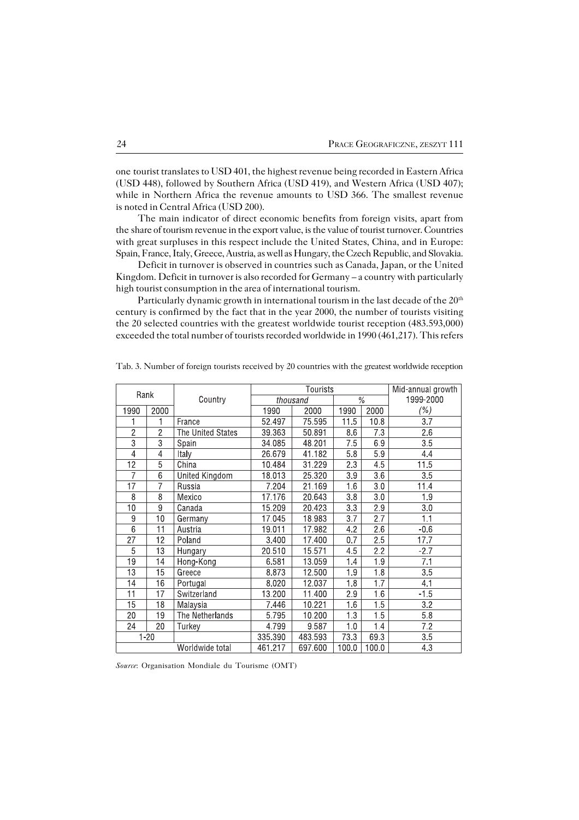onetourist translates to USD 401, the highest revenue being recorded in Eastern Africa (USD 448), followed by Southern Africa (USD 419), and Western Africa (USD 407); while in Northern Africa the revenue amounts to USD 366. The smallest revenue is noted in Central Africa (USD 200).

The main indicator of direct economic benefits from foreign visits, apart from the share of tourism revenue in the export value, is the value of tourist turnover. Countries with great surpluses in this respect include the United States, China, and in Europe: Spain, France, Italy, Greece, Austria, as well as Hungary, the Czech Republic, and Slovakia.

Deficit in turnover is observed in countries such as Canada, Japan, or the United Kingdom. Deficit in turnover is also recorded for Germany – a country with particularly high tourist consumption in the area of international tourism.

Particularly dynamic growth in international tourism in the last decade of the 20<sup>th</sup> century is confirmed by the fact that in the year 2000, the number of tourists visiting the20 selected countries with the greatest worldwide tourist reception (483.593,000) exceeded the total number of tourists recorded worldwide in 1990 (461,217). This refers

| Rank            |                 |                   |          | Tourists            | Mid-annual growth |                  |                  |
|-----------------|-----------------|-------------------|----------|---------------------|-------------------|------------------|------------------|
|                 |                 | Country           | thousand | $\%$                |                   | 1999-2000        |                  |
| 1990            | 2000            |                   | 1990     | 2000                | 1990              | 2000             | (%)              |
|                 |                 | France            | 52.497   | 75.595              | 11.5              | 10.8             | 3.7              |
| $\overline{2}$  | $\overline{2}$  | The United States | 39.363   | 50.891              | 8.6               | 7.3              | $\overline{2.6}$ |
| $\overline{3}$  | 3               | Spain             | 34.085   | 48.201              | 7.5               | 6.9              | 3.5              |
| 4               | $\overline{4}$  | Italy             | 26.679   | 41.182              | 5.8               | 5.9              | 4.4              |
| 12              | 5               | China             | 10.484   | 31.229              | 2.3               | 4.5              | 11.5             |
| 7               | 6               | United Kingdom    | 18.013   | 25.320              | 3.9               | 3.6              | 3.5              |
| 17              | 7               | Russia            | 7.204    | 21.169              | 1.6               | 3.0              | 11.4             |
| 8               | 8               | Mexico            | 17.176   | 20.643              | 3.8               | 3.0              | 1.9              |
| 10              | 9               | Canada            | 15.209   | 20.423              | 3.3               | 2.9              | 3.0              |
| 9               | 10              | Germany           | 17.045   | 18.983              | 3.7               | 2.7              | 1.1              |
| $\overline{6}$  | 11              | Austria           | 19.011   | 17.982              | 4.2               | $\overline{2.6}$ | $-0.6$           |
| 27              | 12              | Poland            | 3.400    | 17.400              | 0.7               | 2.5              | 17.7             |
| $\overline{5}$  | 13              | Hungary           | 20.510   | 15.571              | 4.5               | 2.2              | $-2.7$           |
| 19              | 14              | Hong-Kong         | 6.581    | 13.059              | 1.4               | 1.9              | 7.1              |
| $\overline{13}$ | $\overline{15}$ | Greece            | 8.873    | 12.500              | 1.9               | $\overline{1.8}$ | $\overline{3.5}$ |
| 14              | 16              | Portugal          | 8.020    | 12.037              | 1.8               | $\overline{1.7}$ | 4.1              |
| 11              | 17              | Switzerland       | 13.200   | 11.400              | 2.9               | 1.6              | $-1.5$           |
| 15              | 18              | Malaysia          | 7.446    | 10.221              | 1.6               | 1.5              | 3.2              |
| 20              | 19              | The Netherlands   | 5.795    | $\overline{10.200}$ | 1.3               | 1.5              | $\overline{5.8}$ |
| 24              | 20              | Turkey            | 4.799    | 9.587               | 1.0               | $\overline{1.4}$ | $\overline{7.2}$ |
| $1 - 20$        |                 |                   | 335.390  | 483 593             | 73.3              | 69.3             | 3.5              |
|                 |                 | Worldwide total   | 461.217  | 697.600             | 100.0             | 100.0            | 4.3              |

Tab. 3. Number of foreign tourists received by 20 countries with the greatest worldwide reception

*Source*: Organisation Mondiale du Tourisme (OMT)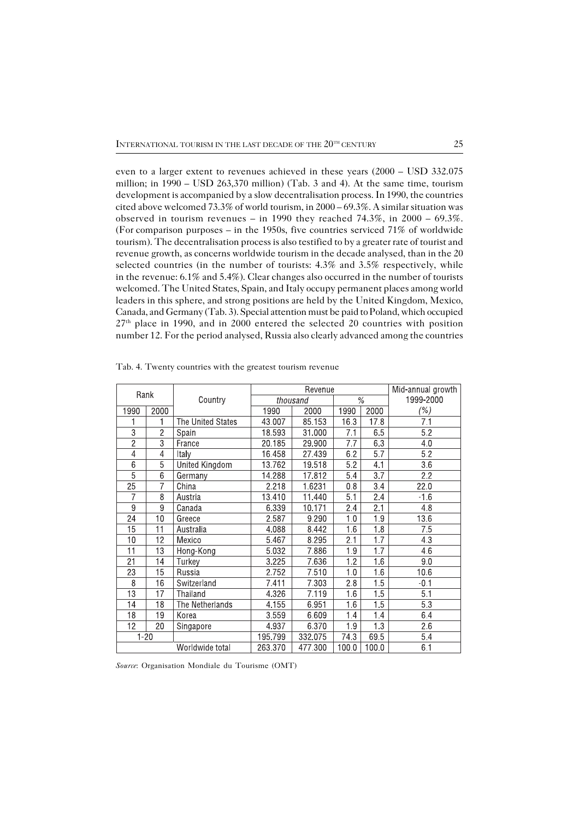even to a larger extent to revenues achieved in these years (2000 – USD 332.075 million; in 1990 – USD 263,370 million) (Tab. 3 and 4). At the same time, tourism development is accompanied by a slow decentralisation process. In 1990, the countries cited above welcomed 73.3% of world tourism, in 2000 – 69.3%. A similar situation was observed in tourism revenues – in 1990 they reached 74.3%, in 2000 – 69.3%. (For comparison purposes – in the 1950s, five countries serviced  $71\%$  of worldwide tourism). The decentralisation process is also testified to by a greater rate of tourist and revenue growth, as concerns worldwide tourism in the decade analysed, than in the 20 selected countries (in the number of tourists: 4.3% and 3.5% respectively, while in the revenue:  $6.1\%$  and  $5.4\%$ ). Clear changes also occurred in the number of tourists welcomed. The United States, Spain, and Italy occupy permanent places among world leaders in this sphere, and strong positions are held by the United Kingdom, Mexico, Canada, and Germany (Tab. 3). Special attention must be paid to Poland, which occupied 27th place in 1990, and in 2000 entered the selected 20 countries with position number 12. For the period analysed, Russia also clearly advanced among the countries

| Rank            |                 |                   |          | Revenue | Mid-annual growth |                  |                  |
|-----------------|-----------------|-------------------|----------|---------|-------------------|------------------|------------------|
|                 |                 | Country           | thousand |         | $\frac{0}{6}$     |                  | 1999-2000        |
| 1990            | 2000            |                   | 1990     | 2000    | 1990              | 2000             | (%)              |
|                 |                 | The United States | 43.007   | 85.153  | 16.3              | 17.8             | 7.1              |
| $\overline{3}$  | $\overline{2}$  | Spain             | 18.593   | 31.000  | 7.1               | 6.5              | 5.2              |
| $\overline{2}$  | $\overline{3}$  | France            | 20.185   | 29.900  | 7.7               | 6.3              | 4.0              |
| $\overline{4}$  | 4               | Italy             | 16.458   | 27.439  | 6.2               | $\overline{5.7}$ | $\overline{5.2}$ |
| $\overline{6}$  | 5               | United Kingdom    | 13.762   | 19.518  | 5.2               | 4.1              | 3.6              |
| 5               | $\overline{6}$  | Germany           | 14.288   | 17.812  | 5.4               | $\overline{3.7}$ | 2.2              |
| 25              | 7               | China             | 2.218    | 1.6231  | 0.8               | $\overline{3.4}$ | 22.0             |
| 7               | 8               | Austria           | 13.410   | 11.440  | 5.1               | 2.4              | $-1.6$           |
| 9               | 9               | Canada            | 6.339    | 10.171  | 2.4               | 2.1              | 4.8              |
| 24              | 10              | Greece            | 2.587    | 9.290   | 1.0               | 1.9              | 13.6             |
| $\overline{15}$ | 11              | Australia         | 4.088    | 8.442   | 1.6               | 1.8              | 7.5              |
| 10              | 12              | Mexico            | 5.467    | 8.295   | 2.1               | $\overline{1.7}$ | 4.3              |
| 11              | 13              | Hong-Kong         | 5.032    | 7.886   | 1.9               | $\overline{1.7}$ | 4.6              |
| $\overline{21}$ | 14              | Turkey            | 3.225    | 7.636   | 1.2               | 1.6              | 9.0              |
| $\overline{23}$ | $\overline{15}$ | Russia            | 2.752    | 7.510   | 1.0               | $\overline{1.6}$ | 10.6             |
| $\overline{8}$  | 16              | Switzerland       | 7.411    | 7.303   | 2.8               | 1.5              | $-0.1$           |
| $\overline{13}$ | $\overline{17}$ | Thailand          | 4.326    | 7.119   | 1.6               | $\overline{1.5}$ | $\overline{5.1}$ |
| 14              | $\overline{18}$ | The Netherlands   | 4.155    | 6.951   | 1.6               | $\overline{1.5}$ | $\overline{5.3}$ |
| 18              | 19              | Korea             | 3.559    | 6.609   | 1.4               | 1.4              | 6.4              |
| $\overline{12}$ | $\overline{20}$ | Singapore         | 4.937    | 6.370   | 1.9               | $\overline{13}$  | $\overline{2.6}$ |
| $1 - 20$        |                 |                   | 195.799  | 332.075 | 74.3              | 69.5             | 5.4              |
|                 |                 | Worldwide total   | 263.370  | 477.300 | 100.0             | 100.0            | 6.1              |

Tab. 4. Twenty countries with the greatest tourism revenue

*Source*: Organisation Mondiale du Tourisme (OMT)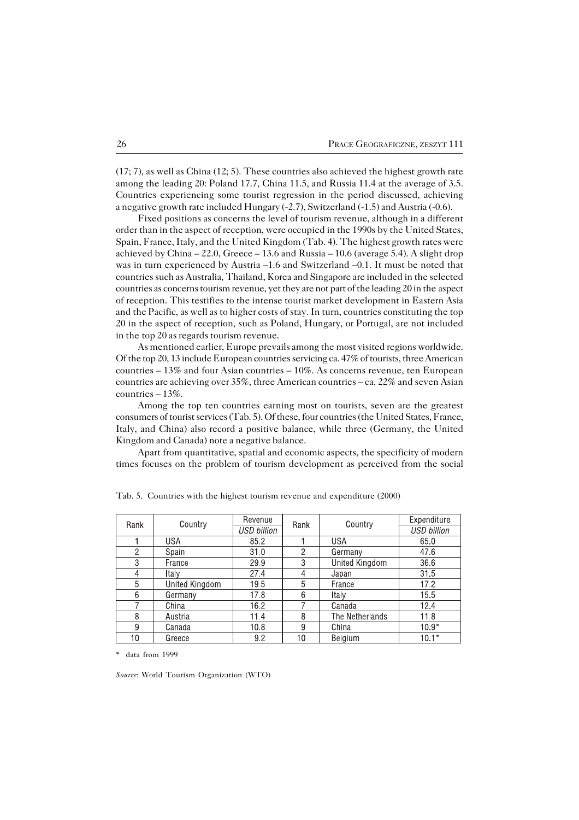(17; 7), aswell as China (12; 5). These countries also achieved the highest growth rate among the leading 20: Poland 17.7, China 11.5, and Russia 11.4 at the average of 3.5. Countries experiencing some tourist regression in the period discussed, achieving a negative growth rate included Hungary (−2.7), Switzerland (−1.5) and Austria (−0.6).

Fixed positions as concerns the level of tourism revenue, although in a different order than in the aspect of reception, were occupied in the 1990s by the United States, Spain, France, Italy, and the United Kingdom (Tab. 4). The highest growth rates were achieved by China  $-22.0$ , Greece  $-13.6$  and Russia  $-10.6$  (average 5.4). A slight drop was in turn experienced by Austria –1.6 and Switzerland –0.1. It must be noted that countries such as Australia, Thailand, Korea and Singapore are included in the selected countries as concerns tourism revenue, yet they are not part of the leading 20 in the aspect of reception. This testifies to the intense tourist market development in Eastern Asia and the Pacific, as well as to higher costs of stay. In turn, countries constituting the top 20 in the aspect of reception, such as Poland, Hungary, or Portugal, are not included in the top 20 as regards tourism revenue.

As mentioned earlier, Europe prevails among the most visited regions worldwide. Of the top 20, 13 include European countries servicing ca. 47% of tourists, three American countries  $-13\%$  and four Asian countries  $-10\%$ . As concerns revenue, ten European countries are achieving over 35%, three American countries – ca. 22% and seven Asian countries – 13%.

Among the top ten countries earning most on tourists, seven are the greatest consumers of tourist services (Tab. 5). Of these, four countries (the United States, France, Italy, and China) also record a positive balance, while three (Germany, the United Kingdom and Canada) note a negative balance.

Apart from quantitative, spatial and economic aspects, the specificity of modern times focuses on the problem of tourism development as perceived from the social

| Rank | Country        | Revenue     | Rank           | Country         | Expenditure        |
|------|----------------|-------------|----------------|-----------------|--------------------|
|      |                | USD billion |                |                 | <b>USD billion</b> |
|      | <b>USA</b>     | 85.2        |                | USA             | 65.0               |
| 2    | Spain          | 31.0        | $\overline{2}$ | Germany         | 47.6               |
| 3    | France         | 29.9        | 3              | United Kingdom  | 36.6               |
| 4    | Italy          | 27.4        | 4              | Japan           | 31.5               |
| 5    | United Kingdom | 19.5        | 5              | France          | 17.2               |
| 6    | Germany        | 17.8        | 6              | Italy           | 15.5               |
|      | China          | 16.2        |                | Canada          | 12.4               |
| 8    | Austria        | 11.4        | 8              | The Netherlands | 11.8               |
| 9    | Canada         | 10.8        | 9              | China           | $10.9*$            |
| 10   | Greece         | 9.2         | 10             | Belgium         | $10.1*$            |

Tab. 5. Countries with the highest tourism revenue and expenditure (2000)

\* data from 1999

*Source*: World Tourism Organization (WTO)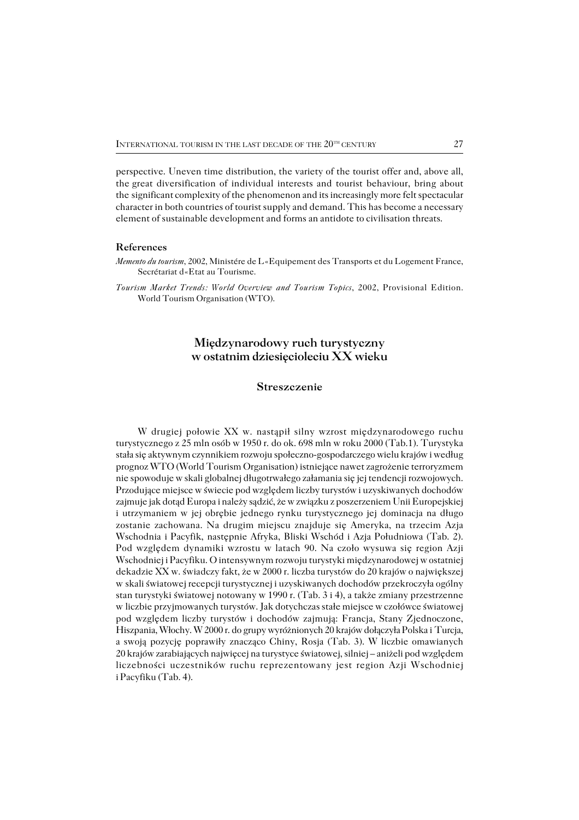perspective. Uneven time distribution, the variety of the tourist offer and, above all, thegreat diversification of individual interests and tourist behaviour, bring about the significant complexity of the phenomenon and its increasingly more felt spectacular character in both countries of tourist supply and demand. This has become a necessary element of sustainable development and forms an antidote to civilisation threats.

### **References**

*Tourism Market Trends: World Overview and Tourism Topics*, 2002, Provisional Edition. World Tourism Organisation (WTO).

# **Międzynarodowy ruch turystyczny w ostatnim dziesięcioleciu XX wieku**

## **Streszczenie**

W drugiej połowie XX w. nastąpił silny wzrost międzynarodowego ruchu turystycznego z 25 mln osób w 1950 r. do ok. 698 mln w roku 2000 (Tab.1). Turystyka stała się aktywnym czynnikiem rozwoju społeczno−gospodarczego wielu krajów i według prognoz WTO (World Tourism Organisation) istniejące nawet zagrożenie terroryzmem nie spowoduje w skali globalnej długotrwałego załamania się jej tendencji rozwojowych. Przodujące miejsce w świecie pod względem liczby turystów i uzyskiwanych dochodów zajmuje jak dotąd Europa i należy sądzić, że w związku z poszerzeniem Unii Europejskiej i utrzymaniem w jej obrębie jednego rynku turystycznego jej dominacja na długo zostanie zachowana. Na drugim miejscu znajduje się Ameryka, na trzecim Azja Wschodnia i Pacyfik, następnie Afryka, Bliski Wschód i Azja Południowa (Tab. 2). Pod względem dynamiki wzrostu w latach 90. Na czoło wysuwa się region Azji Wschodniej i Pacyfiku. O intensywnym rozwoju turystyki międzynarodowej w ostatniej dekadzie XX w. świadczy fakt, że w 2000 r. liczba turystów do 20 krajów o największej wskali światowej recepcji turystycznej i uzyskiwanych dochodów przekroczyła ogólny stan turystyki światowej notowany w 1990 r. (Tab. 3 i 4), a także zmiany przestrzenne wliczbie przyjmowanych turystów. Jak dotychczas stałe miejsce w czołówce światowej pod względem liczby turystów i dochodów zajmują: Francja, Stany Zjednoczone, Hiszpania, Włochy. W 2000 r. do grupy wyróżnionych 20 krajów dołączyła Polska i Turcja, a swoją pozycję poprawiły znacząco Chiny, Rosja (Tab. 3). W liczbie omawianych 20 krajów zarabiających najwięcej na turystyce światowej, silniej – aniżeli pod względem liczebności uczestników ruchu reprezentowany jest region Azji Wschodniej i Pacyfiku (Tab. 4).

*Memento du tourism*, 2002, Ministére de L«Equipement des Transports et du Logement France, Secrétariat d«Etat au Tourisme.